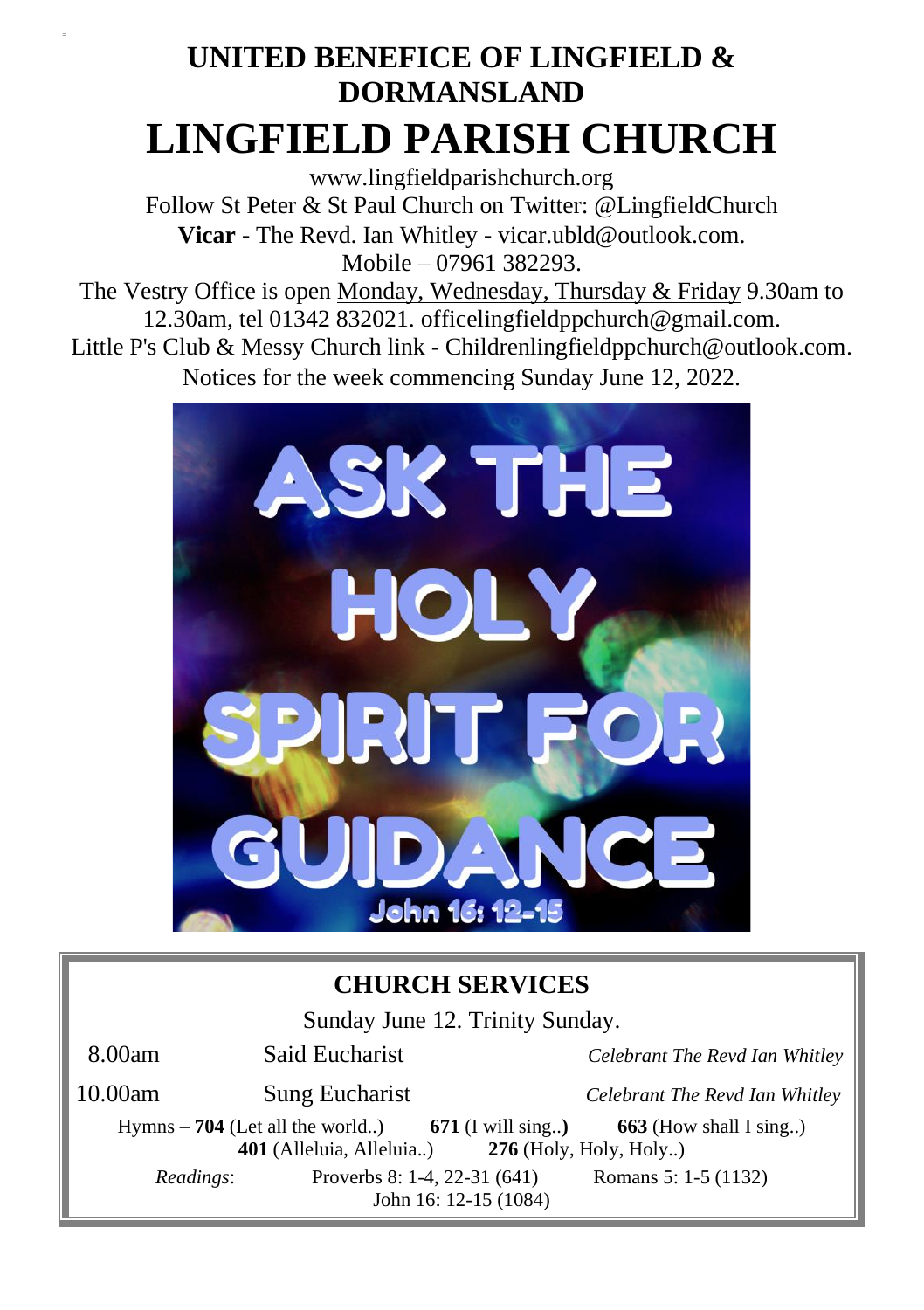# **UNITED BENEFICE OF LINGFIELD & DORMANSLAND LINGFIELD PARISH CHURCH**

[www.lingfieldparishchurch.org](http://www.lingfieldparishchurch.org/) Follow St Peter & St Paul Church on Twitter: @LingfieldChurch **Vicar** - The Revd. Ian Whitley - vicar.ubld@outlook.com. Mobile – 07961 382293.

The Vestry Office is open Monday, Wednesday, Thursday & Friday 9.30am to 12.30am, tel 01342 832021. [officelingfieldppchurch@gmail.com.](mailto:officelingfieldppchurch@gmail.com)

Little P's Club & Messy Church link - [Childrenlingfieldppchurch@outlook.com.](mailto:Childrenlingfieldppchurch@outlook.com) Notices for the week commencing Sunday June 12, 2022.



# **CHURCH SERVICES**

Sunday June 12. Trinity Sunday.

 8.00am Said Eucharist *Celebrant The Revd Ian Whitley* 10.00am Sung Eucharist *Celebrant The Revd Ian Whitley* Hymns – **704** (Let all the world..) **671** (I will sing..**) 663** (How shall I sing..) **401** (Alleluia, Alleluia..) **276** (Holy, Holy, Holy..) *Readings*: Proverbs 8: 1-4, 22-31 (641) Romans 5: 1-5 (1132)

John 16: 12-15 (1084)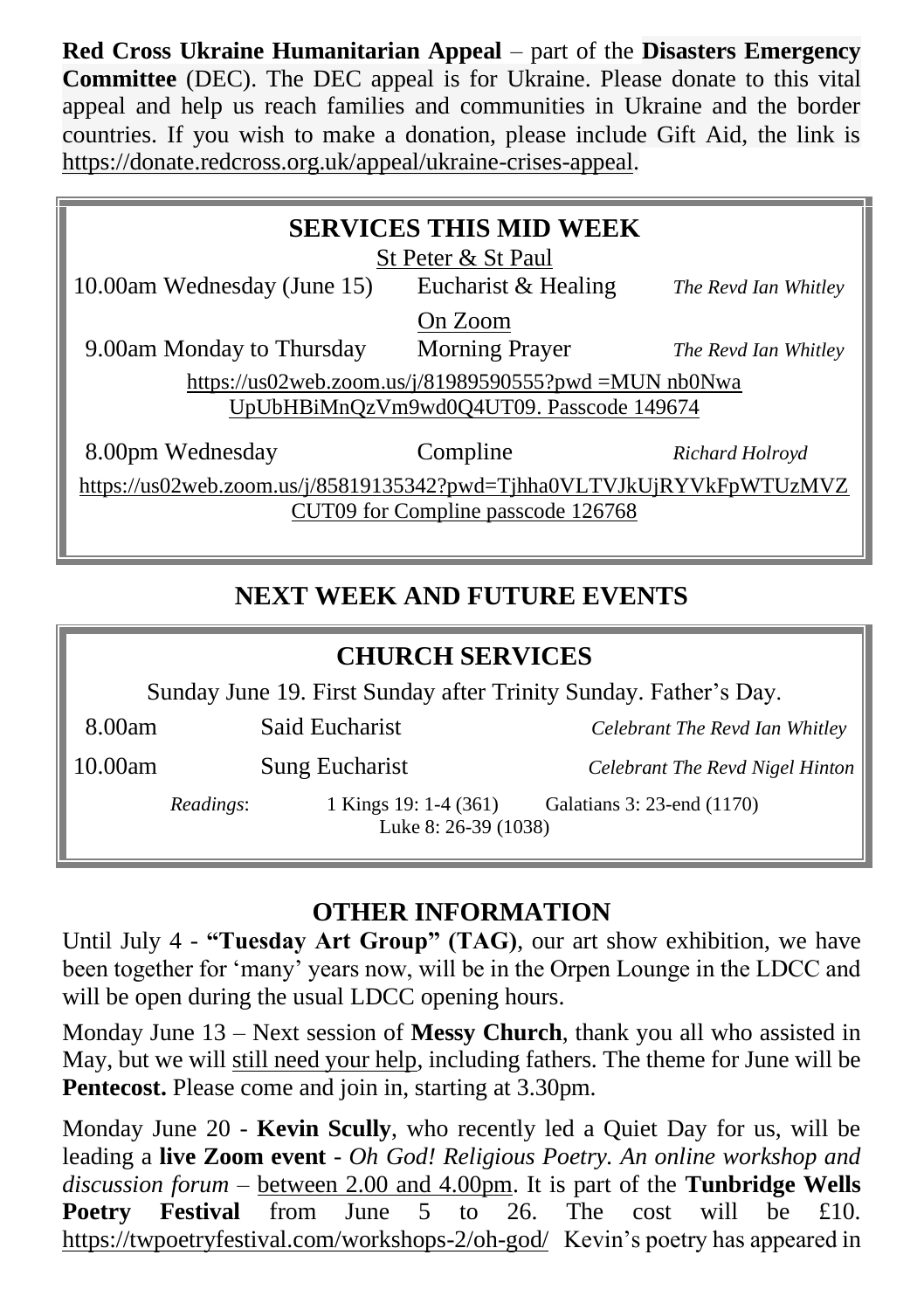**Red Cross Ukraine Humanitarian Appeal** – part of the **Disasters Emergency Committee** (DEC). The DEC appeal is for Ukraine. Please donate to this vital appeal and help us reach families and communities in Ukraine and the border countries. If you wish to make a donation, please include Gift Aid, the link is [https://donate.redcross.org.uk/appeal/ukraine-crises-appeal.](https://donate.redcross.org.uk/appeal/ukraine-crises-appeal)

| <b>SERVICES THIS MID WEEK</b><br>St Peter & St Paul                   |                       |                      |  |  |
|-----------------------------------------------------------------------|-----------------------|----------------------|--|--|
| 10.00am Wednesday (June 15)                                           | Eucharist & Healing   | The Revd Ian Whitley |  |  |
| On Zoom                                                               |                       |                      |  |  |
| 9.00am Monday to Thursday                                             | <b>Morning Prayer</b> | The Revd Ian Whitley |  |  |
| https://us02web.zoom.us/j/81989590555?pwd =MUN nb0Nwa                 |                       |                      |  |  |
| UpUbHBiMnQzVm9wd0Q4UT09. Passcode 149674                              |                       |                      |  |  |
| 8.00pm Wednesday                                                      | Compline              | Richard Holroyd      |  |  |
| https://us02web.zoom.us/j/85819135342?pwd=Tjhha0VLTVJkUjRYVkFpWTUzMVZ |                       |                      |  |  |
| CUT09 for Compline passcode 126768                                    |                       |                      |  |  |

## **NEXT WEEK AND FUTURE EVENTS**

#### **CHURCH SERVICES**

Sunday June 19. First Sunday after Trinity Sunday. Father's Day.

| 8.00am  |           | Said Eucharist                                                              | Celebrant The Revd Ian Whitley  |
|---------|-----------|-----------------------------------------------------------------------------|---------------------------------|
| 10.00am |           | Sung Eucharist                                                              | Celebrant The Revd Nigel Hinton |
|         | Readings: | Galatians 3: 23-end (1170)<br>1 Kings $19:1-4(361)$<br>Luke 8: 26-39 (1038) |                                 |

#### **OTHER INFORMATION**

Until July 4 - **"Tuesday Art Group" (TAG)**, our art show exhibition, we have been together for 'many' years now, will be in the Orpen Lounge in the LDCC and will be open during the usual LDCC opening hours.

Monday June 13 – Next session of **Messy Church**, thank you all who assisted in May, but we will still need your help, including fathers. The theme for June will be **Pentecost.** Please come and join in, starting at 3.30pm.

Monday June 20 - **Kevin Scully**, who recently led a Quiet Day for us, will be leading a **live Zoom event** - *Oh God! Religious Poetry. An online workshop and discussion forum –* between 2.00 and 4.00pm. It is part of the **Tunbridge Wells Poetry Festival** from June 5 to 26. The cost will be £10. <https://twpoetryfestival.com/workshops-2/oh-god/>Kevin's poetry has appeared in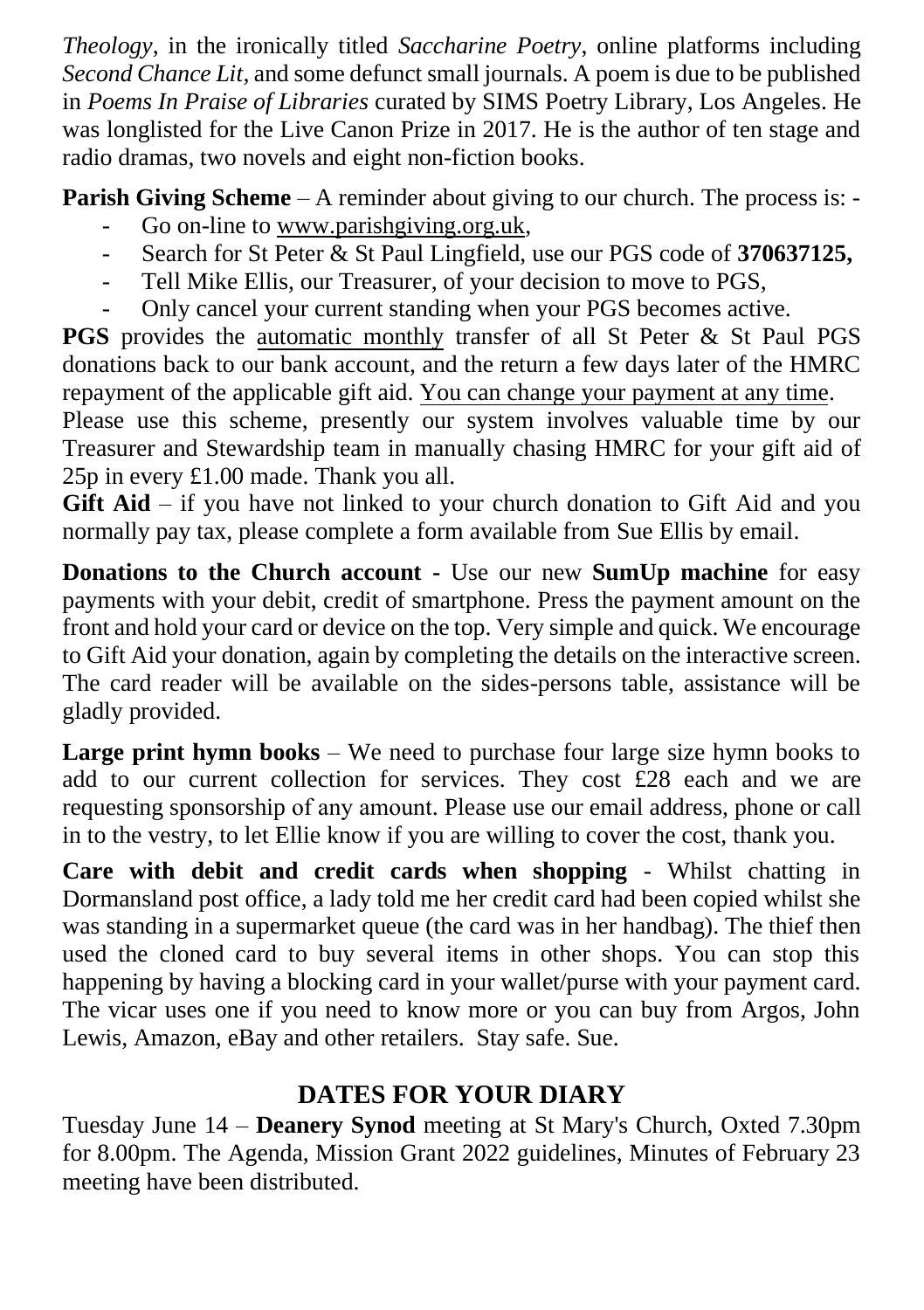*Theology*, in the ironically titled *Saccharine Poetry*, online platforms including *Second Chance Lit,* and some defunct small journals. A poem is due to be published in *Poems In Praise of Libraries* curated by SIMS Poetry Library, Los Angeles. He was longlisted for the Live Canon Prize in 2017. He is the author of ten stage and radio dramas, two novels and eight non-fiction books.

**Parish Giving Scheme** – A reminder about giving to our church. The process is: -

- Go on-line to www.parishgiving.org.uk.
- Search for St Peter & St Paul Lingfield, use our PGS code of **370637125,**
- Tell Mike Ellis, our Treasurer, of your decision to move to PGS,
- Only cancel your current standing when your PGS becomes active.

**PGS** provides the automatic monthly transfer of all St Peter & St Paul PGS donations back to our bank account, and the return a few days later of the HMRC repayment of the applicable gift aid. You can change your payment at any time.

Please use this scheme, presently our system involves valuable time by our Treasurer and Stewardship team in manually chasing HMRC for your gift aid of 25p in every £1.00 made. Thank you all.

**Gift Aid** – if you have not linked to your church donation to Gift Aid and you normally pay tax, please complete a form available from Sue Ellis by email.

**Donations to the Church account -** Use our new **SumUp machine** for easy payments with your debit, credit of smartphone. Press the payment amount on the front and hold your card or device on the top. Very simple and quick. We encourage to Gift Aid your donation, again by completing the details on the interactive screen. The card reader will be available on the sides-persons table, assistance will be gladly provided.

**Large print hymn books** – We need to purchase four large size hymn books to add to our current collection for services. They cost £28 each and we are requesting sponsorship of any amount. Please use our email address, phone or call in to the vestry, to let Ellie know if you are willing to cover the cost, thank you.

**Care with debit and credit cards when shopping** - Whilst chatting in Dormansland post office, a lady told me her credit card had been copied whilst she was standing in a supermarket queue (the card was in her handbag). The thief then used the cloned card to buy several items in other shops. You can stop this happening by having a blocking card in your wallet/purse with your payment card. The vicar uses one if you need to know more or you can buy from Argos, John Lewis, Amazon, eBay and other retailers. Stay safe. Sue.

## **DATES FOR YOUR DIARY**

Tuesday June 14 – **Deanery Synod** meeting at St Mary's Church, Oxted 7.30pm for 8.00pm. The Agenda, Mission Grant 2022 guidelines, Minutes of February 23 meeting have been distributed.